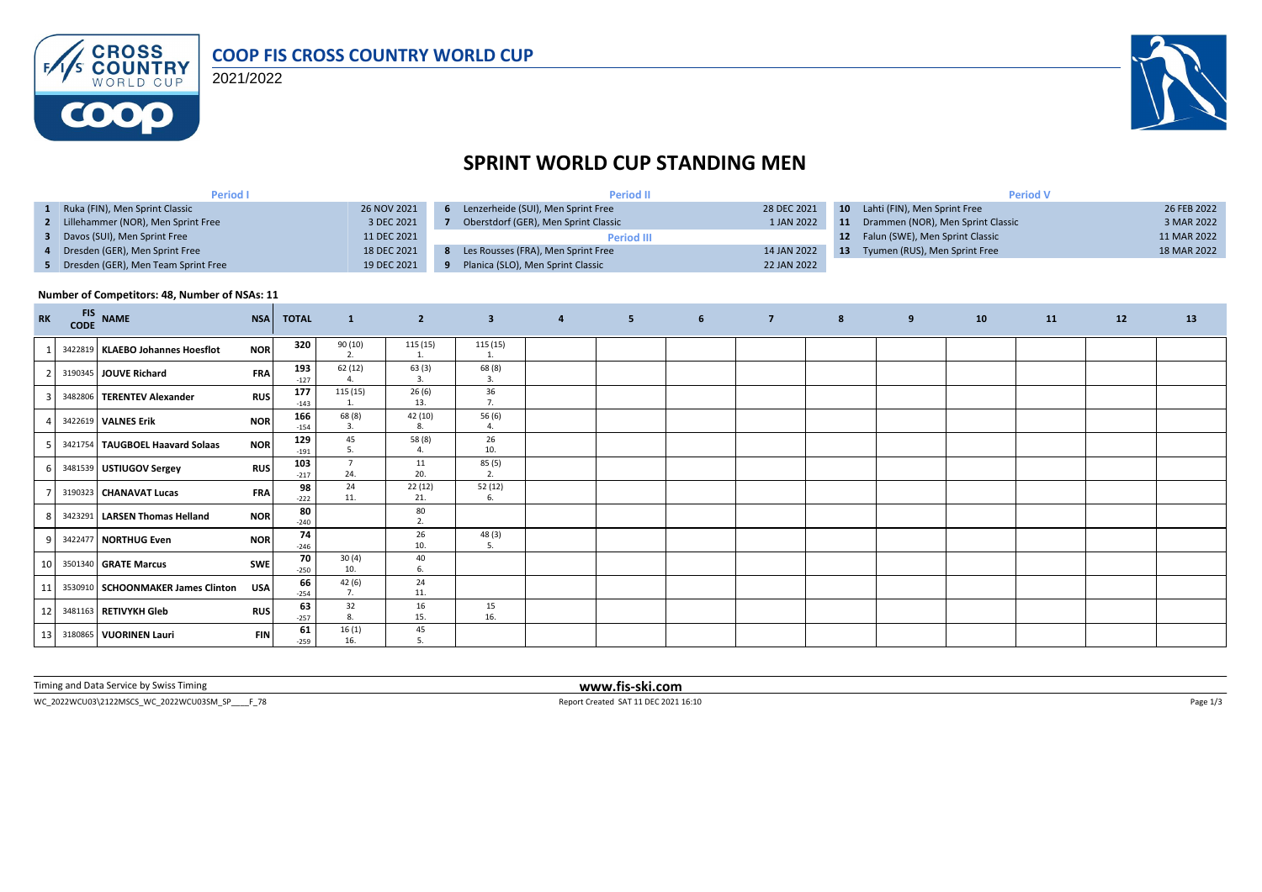

2021/2022



## **SPRINT WORLD CUP STANDING MEN**

| Period I                              |             | <b>Period II</b>                     |             | <b>Period V</b> |                                      |             |  |  |
|---------------------------------------|-------------|--------------------------------------|-------------|-----------------|--------------------------------------|-------------|--|--|
| 1 Ruka (FIN), Men Sprint Classic      | 26 NOV 2021 | 6 Lenzerheide (SUI), Men Sprint Free | 28 DEC 2021 |                 | 10 Lahti (FIN), Men Sprint Free      | 26 FEB 2022 |  |  |
| 2 Lillehammer (NOR), Men Sprint Free  | 3 DEC 2021  | Oberstdorf (GER), Men Sprint Classic | 1 JAN 2022  |                 | 11 Drammen (NOR), Men Sprint Classic | 3 MAR 2022  |  |  |
| 3 Davos (SUI), Men Sprint Free        | 11 DEC 2021 | <b>Period III</b>                    |             | 12 <sup>7</sup> | Falun (SWE), Men Sprint Classic      | 11 MAR 2022 |  |  |
| 4 Dresden (GER), Men Sprint Free      | 18 DEC 2021 | 8 Les Rousses (FRA), Men Sprint Free | 14 JAN 2022 | -13             | Tyumen (RUS), Men Sprint Free        | 18 MAR 2022 |  |  |
| 5 Dresden (GER), Men Team Sprint Free | 19 DEC 2021 | Planica (SLO), Men Sprint Classic    | 22 JAN 2022 |                 |                                      |             |  |  |

## **Number of Competitors: 48, Number of NSAs: 11**

| <b>RK</b> | <b>FIS</b><br>$\mathsf{CODE}$ | <b>NAME</b>                        | <b>NSA</b> | <b>TOTAL</b>  | $\mathbf{1}$          | $\overline{2}$ | $\overline{\mathbf{3}}$ | $\overline{a}$ | 5 <sub>1</sub> | 6 <sup>5</sup> | 8 | 9 | 10 | 11 | 12 | 13 |
|-----------|-------------------------------|------------------------------------|------------|---------------|-----------------------|----------------|-------------------------|----------------|----------------|----------------|---|---|----|----|----|----|
|           |                               | 3422819   KLAEBO Johannes Hoesflot | <b>NOR</b> | 320           | 90 (10)<br>2.         | 115 (15)       | 115(15)<br>$\mathbf{1}$ |                |                |                |   |   |    |    |    |    |
|           |                               | 3190345 JOUVE Richard              | FRA        | 193<br>$-127$ | 62 (12)<br>4.         | 63(3)<br>3.    | 68 (8)<br>3.            |                |                |                |   |   |    |    |    |    |
|           |                               | 3482806 TERENTEV Alexander         | <b>RUS</b> | 177<br>$-143$ | 115 (15)              | 26(6)<br>13.   | 36<br>7.                |                |                |                |   |   |    |    |    |    |
|           |                               | 3422619 VALNES Erik                | <b>NOR</b> | 166<br>$-154$ | 68 (8)<br>3.          | 42 (10)<br>8.  | 56 (6)<br>4.            |                |                |                |   |   |    |    |    |    |
|           |                               | 3421754 TAUGBOEL Haavard Solaas    | <b>NOR</b> | 129<br>$-191$ | 45<br>5.              | 58 (8)<br>4.   | 26<br>10.               |                |                |                |   |   |    |    |    |    |
|           |                               | 3481539 USTIUGOV Sergey            | <b>RUS</b> | 103<br>$-217$ | $\overline{7}$<br>24. | 11<br>20.      | 85 (5)<br>2.            |                |                |                |   |   |    |    |    |    |
|           |                               | 3190323 CHANAVAT Lucas             | <b>FRA</b> | 98<br>$-222$  | 24<br>11.             | 22(12)<br>21.  | 52(12)<br>6.            |                |                |                |   |   |    |    |    |    |
|           |                               | 3423291 LARSEN Thomas Helland      | <b>NOR</b> | 80<br>$-240$  |                       | 80<br>2.       |                         |                |                |                |   |   |    |    |    |    |
|           |                               | 3422477 NORTHUG Even               | <b>NOR</b> | 74<br>$-246$  |                       | 26<br>10.      | 48 (3)<br>5.            |                |                |                |   |   |    |    |    |    |
| 10        |                               | 3501340 <b>GRATE Marcus</b>        | <b>SWE</b> | 70<br>$-250$  | 30(4)<br>10.          | 40<br>6.       |                         |                |                |                |   |   |    |    |    |    |
| 11        |                               | 3530910 SCHOONMAKER James Clinton  | USA        | 66<br>$-254$  | 42(6)<br>7.           | 24<br>11.      |                         |                |                |                |   |   |    |    |    |    |
| 12        |                               | 3481163 RETIVYKH Gleb              | <b>RUS</b> | 63<br>$-257$  | 32<br>8.              | 16<br>15.      | 15<br>16.               |                |                |                |   |   |    |    |    |    |
| 13        |                               | 3180865 VUORINEN Lauri             | <b>FIN</b> | 61<br>$-259$  | 16(1)<br>16.          | 45             |                         |                |                |                |   |   |    |    |    |    |

Timing and Data Service by Swiss Timing **www.fis-ski.com**

WC\_2022WCU03\2122MSCS\_WC\_2022WCU03SM\_SP\_\_\_\_F\_78 <br>
Page 1/3 Report Created SAT 11 DEC 2021 16:10 Page 1/3 Page 1/3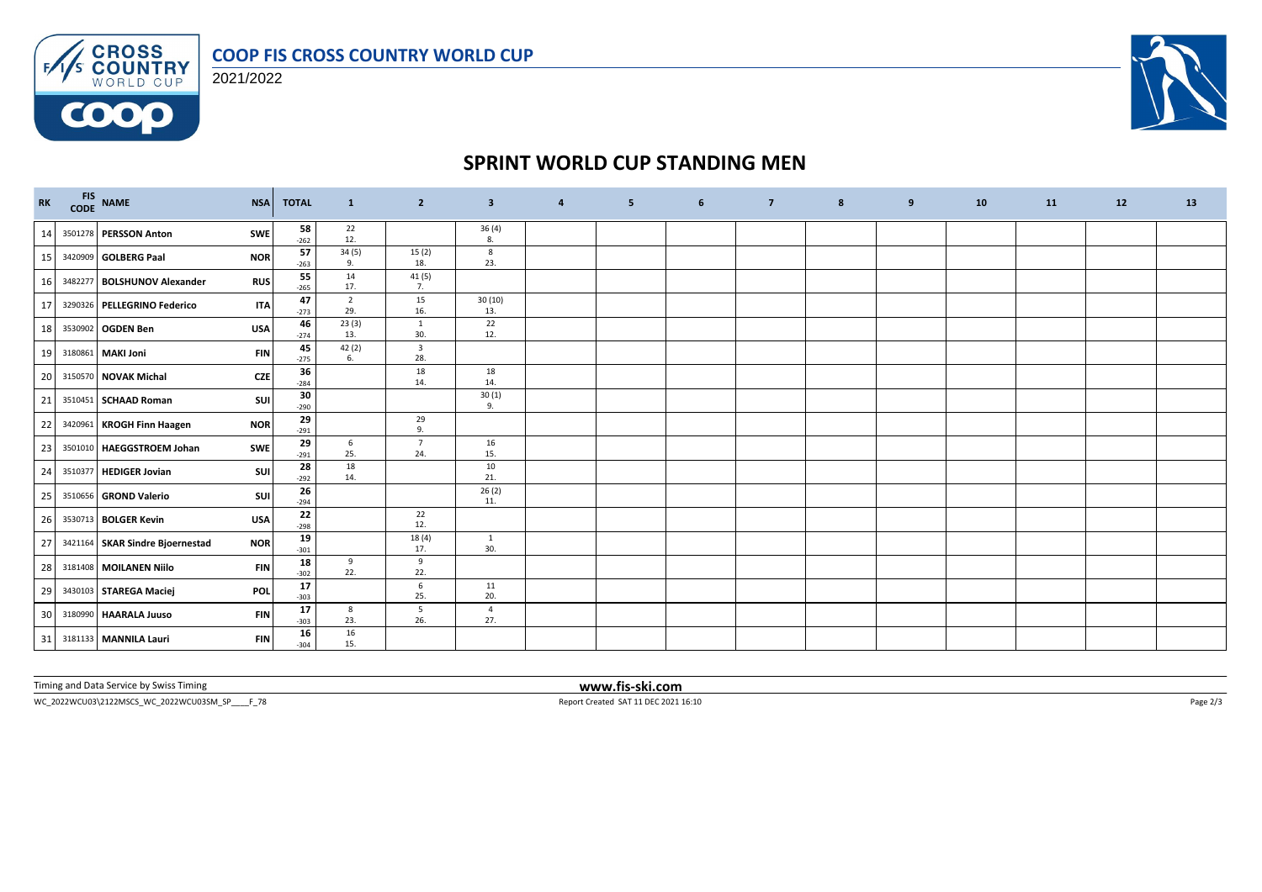

FAS CROSS 2021/2022

**COOO** 



## **SPRINT WORLD CUP STANDING MEN**

| RK |         | FIS NAME<br>CODE NAME           | <b>NSA</b> | <b>TOTAL</b> | $\mathbf{1}$          | $\overline{2}$                 | $\overline{\mathbf{3}}$ | $\overline{4}$ | 5 | 6 | $\overline{7}$ | 8 | 9 | 10 | 11 | 12 | 13 |
|----|---------|---------------------------------|------------|--------------|-----------------------|--------------------------------|-------------------------|----------------|---|---|----------------|---|---|----|----|----|----|
| 14 |         | 3501278 PERSSON Anton           | <b>SWE</b> | 58<br>$-262$ | 22<br>12.             |                                | 36 (4)<br>8.            |                |   |   |                |   |   |    |    |    |    |
| 15 |         | 3420909 GOLBERG Paal            | <b>NOR</b> | 57<br>$-263$ | 34(5)<br>9.           | 15(2)<br>18.                   | 8<br>23.                |                |   |   |                |   |   |    |    |    |    |
| 16 |         | 3482277 BOLSHUNOV Alexander     | <b>RUS</b> | 55<br>$-265$ | 14<br>17.             | 41 (5)<br>7.                   |                         |                |   |   |                |   |   |    |    |    |    |
| 17 |         | 3290326 PELLEGRINO Federico     | <b>ITA</b> | 47<br>$-273$ | $\overline{2}$<br>29. | 15<br>16.                      | 30(10)<br>13.           |                |   |   |                |   |   |    |    |    |    |
| 18 |         | 3530902 OGDEN Ben               | <b>USA</b> | 46<br>$-274$ | 23(3)<br>13.          | $\mathbf{1}$<br>30.            | 22<br>12.               |                |   |   |                |   |   |    |    |    |    |
| 19 | 3180861 | <b>MAKI Joni</b>                | <b>FIN</b> | 45<br>$-275$ | 42(2)<br>6.           | $\overline{\mathbf{3}}$<br>28. |                         |                |   |   |                |   |   |    |    |    |    |
| 20 |         | 3150570 NOVAK Michal            | <b>CZE</b> | 36<br>$-284$ |                       | 18<br>14.                      | 18<br>14.               |                |   |   |                |   |   |    |    |    |    |
| 21 |         | 3510451 SCHAAD Roman            | SUI        | 30<br>$-290$ |                       |                                | 30(1)<br>9.             |                |   |   |                |   |   |    |    |    |    |
| 22 |         | 3420961 KROGH Finn Haagen       | <b>NOR</b> | 29<br>$-291$ |                       | 29<br>9.                       |                         |                |   |   |                |   |   |    |    |    |    |
| 23 |         | 3501010 HAEGGSTROEM Johan       | <b>SWE</b> | 29<br>$-291$ | 6<br>25.              | $\overline{7}$<br>24.          | 16<br>15.               |                |   |   |                |   |   |    |    |    |    |
| 24 |         | 3510377 HEDIGER Jovian          | SUI        | 28<br>$-292$ | 18<br>14.             |                                | 10<br>21.               |                |   |   |                |   |   |    |    |    |    |
| 25 |         | 3510656 GROND Valerio           | SUI        | 26<br>$-294$ |                       |                                | 26(2)<br>11.            |                |   |   |                |   |   |    |    |    |    |
| 26 |         | 3530713 BOLGER Kevin            | <b>USA</b> | 22<br>$-298$ |                       | 22<br>12.                      |                         |                |   |   |                |   |   |    |    |    |    |
| 27 |         | 3421164 SKAR Sindre Bjoernestad | <b>NOR</b> | 19<br>$-301$ |                       | 18 (4)<br>17.                  | <sup>1</sup><br>30.     |                |   |   |                |   |   |    |    |    |    |
| 28 |         | 3181408 MOILANEN Niilo          | <b>FIN</b> | 18<br>$-302$ | 9<br>22.              | 9<br>22.                       |                         |                |   |   |                |   |   |    |    |    |    |
| 29 |         | 3430103 STAREGA Maciej          | <b>POL</b> | 17<br>$-303$ |                       | $\,$ 6 $\,$<br>25.             | 11<br>20.               |                |   |   |                |   |   |    |    |    |    |
| 30 |         | 3180990 HAARALA Juuso           | <b>FIN</b> | 17<br>$-303$ | 8<br>23.              | 5<br>26.                       | $\overline{4}$<br>27.   |                |   |   |                |   |   |    |    |    |    |
|    |         | 31 3181133 MANNILA Lauri        | <b>FIN</b> | 16<br>$-304$ | 16<br>15.             |                                |                         |                |   |   |                |   |   |    |    |    |    |

Timing and Data Service by Swiss Timing **www.fis-ski.com**

 $\footnotesize \textsf{WC\_2022WCU03\&122MSCS\_WC\_2022WCU03SM\_SP\_\_F73}$